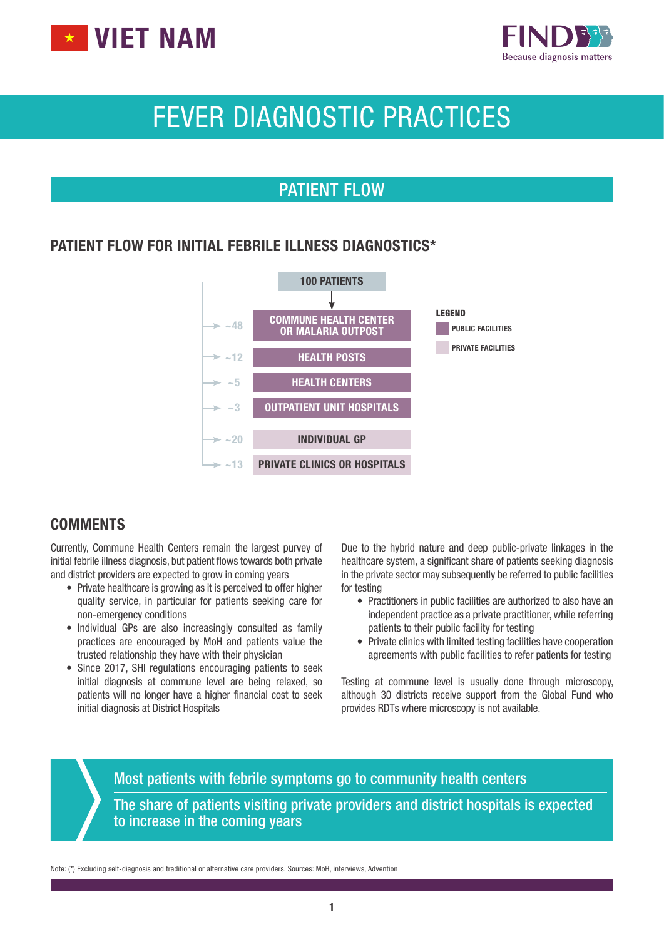



## FEVER DIAGNOSTIC PRACTICES

#### PATIENT FLOW

#### PATIENT FLOW FOR INITIAL FEBRILE ILLNESS DIAGNOSTICS\*



#### **COMMENTS**

Currently, Commune Health Centers remain the largest purvey of initial febrile illness diagnosis, but patient flows towards both private and district providers are expected to grow in coming years

- Private healthcare is growing as it is perceived to offer higher quality service, in particular for patients seeking care for non-emergency conditions
- Individual GPs are also increasingly consulted as family practices are encouraged by MoH and patients value the trusted relationship they have with their physician
- Since 2017, SHI regulations encouraging patients to seek initial diagnosis at commune level are being relaxed, so patients will no longer have a higher financial cost to seek initial diagnosis at District Hospitals

Due to the hybrid nature and deep public-private linkages in the healthcare system, a significant share of patients seeking diagnosis in the private sector may subsequently be referred to public facilities for testing

- Practitioners in public facilities are authorized to also have an independent practice as a private practitioner, while referring patients to their public facility for testing
- Private clinics with limited testing facilities have cooperation agreements with public facilities to refer patients for testing

Testing at commune level is usually done through microscopy, although 30 districts receive support from the Global Fund who provides RDTs where microscopy is not available.

Most patients with febrile symptoms go to community health centers The share of patients visiting private providers and district hospitals is expected to increase in the coming years

Note: (\*) Excluding self-diagnosis and traditional or alternative care providers. Sources: MoH, interviews, Advention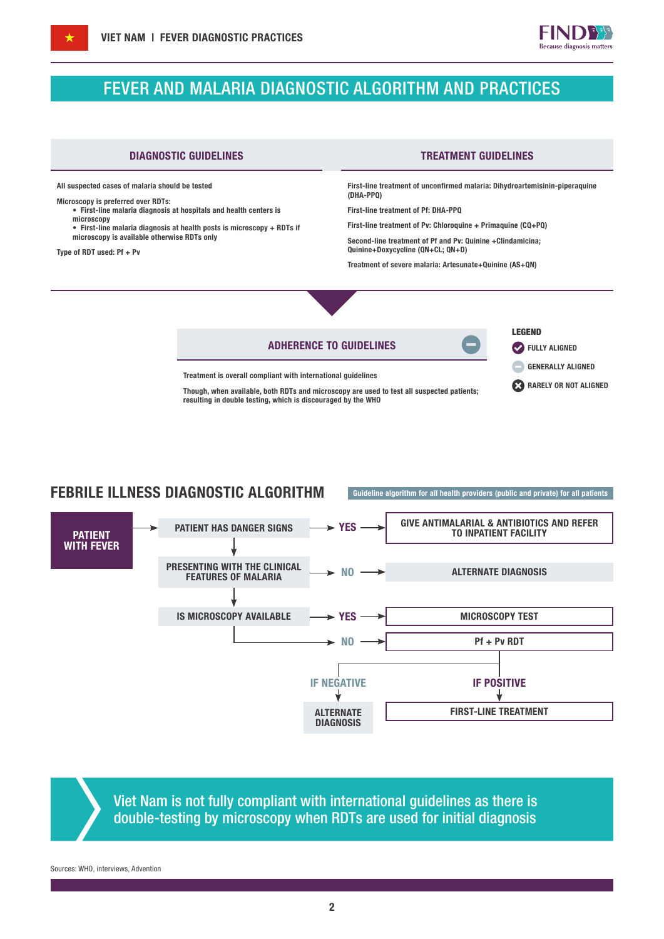#### FEVER AND MALARIA DIAGNOSTIC ALGORITHM AND PRACTICES

All suspected cases of malaria should be tested

Microscopy is preferred over RDTs:

• First-line malaria diagnosis at hospitals and health centers is microscopy • First-line malaria diagnosis at health posts is microscopy + RDTs if

microscopy is available otherwise RDTs only

Type of RDT used: Pf + Pv

#### DIAGNOSTIC GUIDELINES TREATMENT GUIDELINES

First-line treatment of unconfirmed malaria: Dihydroartemisinin-piperaquine (DHA-PPQ)

First-line treatment of Pf: DHA-PPQ

First-line treatment of Pv: Chloroquine + Primaquine (CQ+PQ)

Second-line treatment of Pf and Pv: Quinine +Clindamicina; Quinine+Doxycycline (QN+CL; QN+D)

Treatment of severe malaria: Artesunate+Quinine (AS+QN)

# ADHERENCE TO GUIDELINES

LEGEND **FULLY ALIGNED** 

RARELY OR NOT ALIGNED GENERALLY ALIGNED

Treatment is overall compliant with international guidelines

Though, when available, both RDTs and microscopy are used to test all suspected patients; resulting in double testing, which is discouraged by the WHO

#### FEBRILE ILLNESS DIAGNOSTIC ALGORITHM Guideline algorithm for all health providers (public and private) for all patients



Viet Nam is not fully compliant with international guidelines as there is double-testing by microscopy when RDTs are used for initial diagnosis

Sources: WHO, interviews, Advention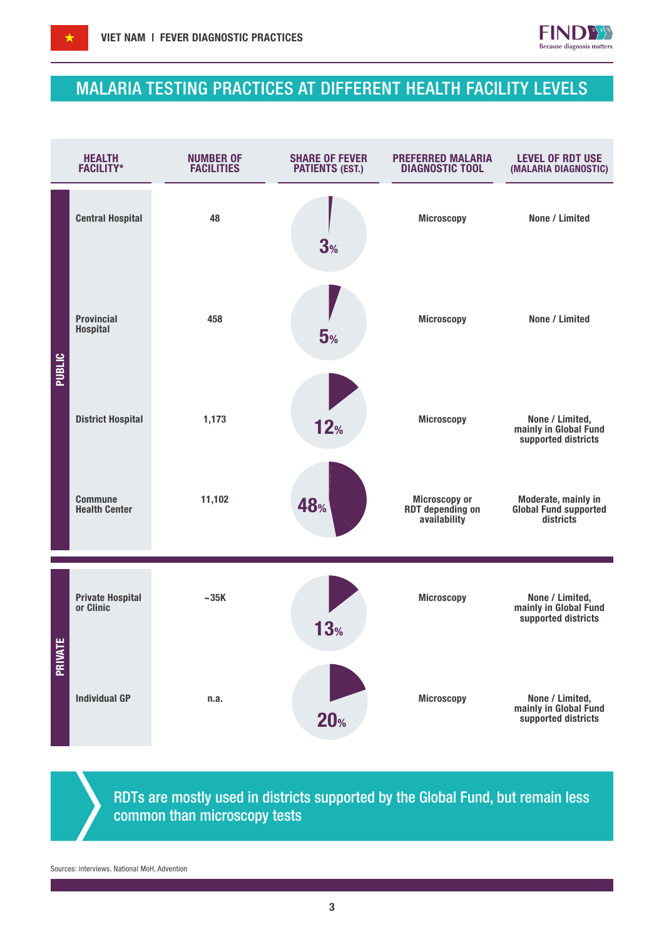

#### MALARIA TESTING PRACTICES AT DIFFERENT HEALTH FACILITY LEVELS



RDTs are mostly used in districts supported by the Global Fund, but remain less common than microscopy tests

Sources: interviews, National MoH, Advention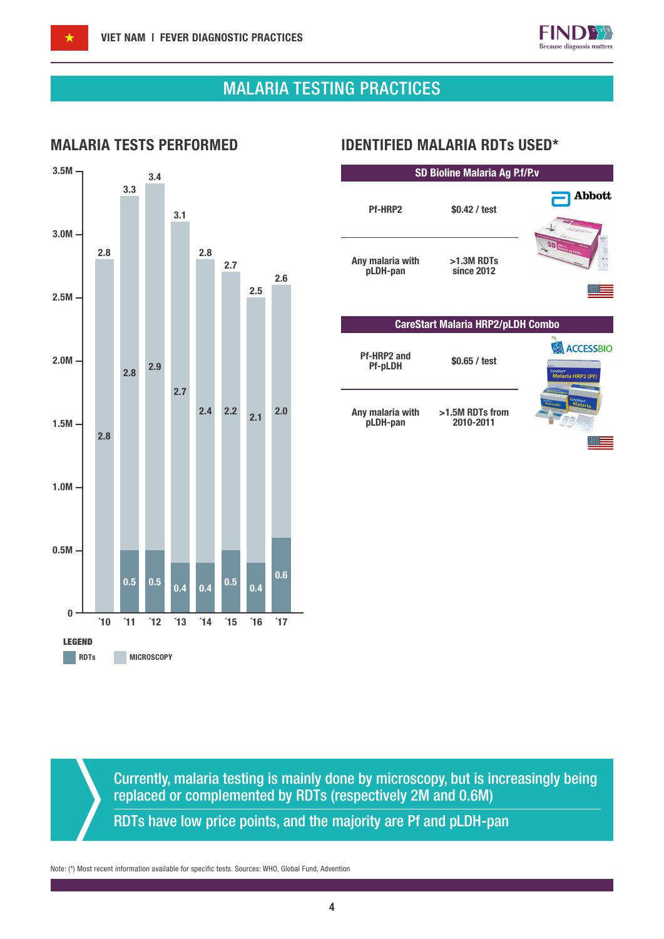

## MALARIA TESTING PRACTICES



#### MALARIA TESTS PERFORMED IDENTIFIED MALARIA RDTs USED\*

| SD Bioline Malaria Ag P.f/P.v            |                              |                                                   |  |  |  |  |
|------------------------------------------|------------------------------|---------------------------------------------------|--|--|--|--|
| <b>Pf-HRP2</b>                           | \$0.42 / test                | Abbott                                            |  |  |  |  |
| Any malaria with<br>pLDH-pan             | $>1.3M$ RDTs<br>since 2012   | Malaria Ag Pf/P                                   |  |  |  |  |
| <b>CareStart Malaria HRP2/pLDH Combo</b> |                              |                                                   |  |  |  |  |
| Pf-HRP2 and<br><b>Pf-pLDH</b>            | \$0.65 / test                | <b>ACCESSBIO</b><br>CareStart<br>Malaria HRP2 (Pf |  |  |  |  |
| Any malaria with<br>pLDH-pan             | >1.5M RDTs from<br>2010-2011 | <sub>CareStart</sub><br>Malaria                   |  |  |  |  |
|                                          |                              |                                                   |  |  |  |  |
|                                          |                              |                                                   |  |  |  |  |
|                                          |                              |                                                   |  |  |  |  |

Currently, malaria testing is mainly done by microscopy, but is increasingly being replaced or complemented by RDTs (respectively 2M and 0.6M)

RDTs have low price points, and the majority are Pf and pLDH-pan

Note: (\*) Most recent information available for specific tests. Sources: WHO, Global Fund, Advention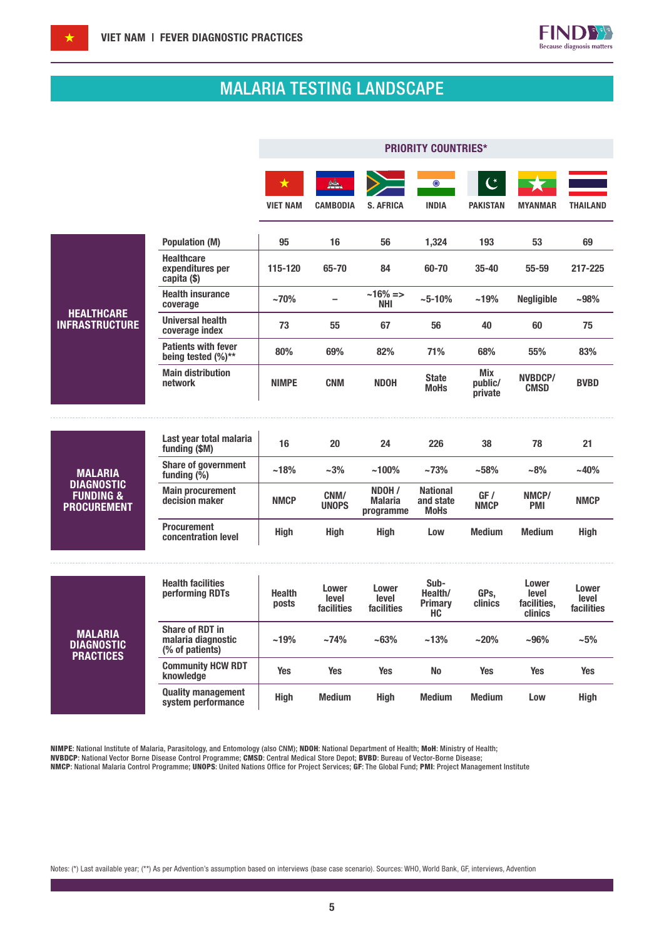

## MALARIA TESTING LANDSCAPE

|                                                                                   |                                                                 | <b>PRIORITY COUNTRIES*</b>    |                              |                                       |                                             |                                     |                                          |                              |
|-----------------------------------------------------------------------------------|-----------------------------------------------------------------|-------------------------------|------------------------------|---------------------------------------|---------------------------------------------|-------------------------------------|------------------------------------------|------------------------------|
|                                                                                   |                                                                 | $\bigstar$<br><b>VIET NAM</b> | <b>CAMBODIA</b>              | <b>S. AFRICA</b>                      | ⊙<br><b>INDIA</b>                           | $\mathfrak{C}^*$<br><b>PAKISTAN</b> | <b>MYANMAR</b>                           | <b>THAILAND</b>              |
|                                                                                   | <b>Population (M)</b>                                           | 95                            | 16                           | 56                                    | 1,324                                       | 193                                 | 53                                       | 69                           |
| <b>HEALTHCARE</b><br><b>INFRASTRUCTURE</b>                                        | <b>Healthcare</b><br>expenditures per<br>capita (\$)            | 115-120                       | 65-70                        | 84                                    | 60-70                                       | $35 - 40$                           | 55-59                                    | 217-225                      |
|                                                                                   | <b>Health insurance</b><br>coverage                             | $~10\%$                       |                              | ~16% =><br>NHI                        | $~10\%$                                     | ~19%                                | <b>Negligible</b>                        | $-98%$                       |
|                                                                                   | <b>Universal health</b><br>coverage index                       | 73                            | 55                           | 67                                    | 56                                          | 40                                  | 60                                       | 75                           |
|                                                                                   | <b>Patients with fever</b><br>being tested (%)**                | 80%                           | 69%                          | 82%                                   | 71%                                         | 68%                                 | 55%                                      | 83%                          |
|                                                                                   | <b>Main distribution</b><br>network                             | <b>NIMPE</b>                  | <b>CNM</b>                   | <b>NDOH</b>                           | <b>State</b><br><b>MoHs</b>                 | Mix<br>public/<br>private           | NVBDCP/<br><b>CMSD</b>                   | <b>BVBD</b>                  |
|                                                                                   |                                                                 |                               |                              |                                       |                                             |                                     |                                          |                              |
| <b>MALARIA</b><br><b>DIAGNOSTIC</b><br><b>FUNDING &amp;</b><br><b>PROCUREMENT</b> | Last year total malaria<br>funding (\$M)                        | 16                            | 20                           | 24                                    | 226                                         | 38                                  | 78                                       | 21                           |
|                                                                                   | <b>Share of government</b><br>funding $(\frac{6}{6})$           | ~18%                          | $~1.3\%$                     | $~100\%$                              | ~173%                                       | ~158%                               | $-8%$                                    | $-40%$                       |
|                                                                                   | <b>Main procurement</b><br>decision maker                       | <b>NMCP</b>                   | CNM/<br><b>UNOPS</b>         | NDOH /<br><b>Malaria</b><br>programme | <b>National</b><br>and state<br><b>MoHs</b> | GF /<br><b>NMCP</b>                 | NMCP/<br><b>PMI</b>                      | <b>NMCP</b>                  |
|                                                                                   | <b>Procurement</b><br>concentration level                       | <b>High</b>                   | <b>High</b>                  | <b>High</b>                           | Low                                         | <b>Medium</b>                       | <b>Medium</b>                            | <b>High</b>                  |
| <b>MALARIA</b><br><b>DIAGNOSTIC</b><br><b>PRACTICES</b>                           | <b>Health facilities</b><br>performing RDTs                     | <b>Health</b><br>posts        | Lower<br>level<br>facilities | Lower<br>level<br>facilities          | Sub-<br>Health/<br><b>Primary</b><br>HC.    | GPs,<br>clinics                     | Lower<br>level<br>facilities,<br>clinics | Lower<br>level<br>facilities |
|                                                                                   | <b>Share of RDT in</b><br>malaria diagnostic<br>(% of patients) | ~19%                          | ~174%                        | ~163%                                 | ~13%                                        | $~20\%$                             | $-96%$                                   | $-5%$                        |
|                                                                                   | <b>Community HCW RDT</b><br>knowledge                           | <b>Yes</b>                    | <b>Yes</b>                   | <b>Yes</b>                            | <b>No</b>                                   | <b>Yes</b>                          | <b>Yes</b>                               | <b>Yes</b>                   |
|                                                                                   | <b>Quality management</b><br>system performance                 | <b>High</b>                   | <b>Medium</b>                | <b>High</b>                           | <b>Medium</b>                               | <b>Medium</b>                       | Low                                      | <b>High</b>                  |

NIMPE: National Institute of Malaria, Parasitology, and Entomology (also CNM); NDOH: National Department of Health; MoH: Ministry of Health; NVBDCP: National Vector Borne Disease Control Programme; CMSD: Central Medical Store Depot; BVBD: Bureau of Vector-Borne Disease;

NMCP: National Malaria Control Programme; UNOPS: United Nations Office for Project Services; GF: The Global Fund; PMI: Project Management Institute

Notes: (\*) Last available year; (\*\*) As per Advention's assumption based on interviews (base case scenario). Sources: WHO, World Bank, GF, interviews, Advention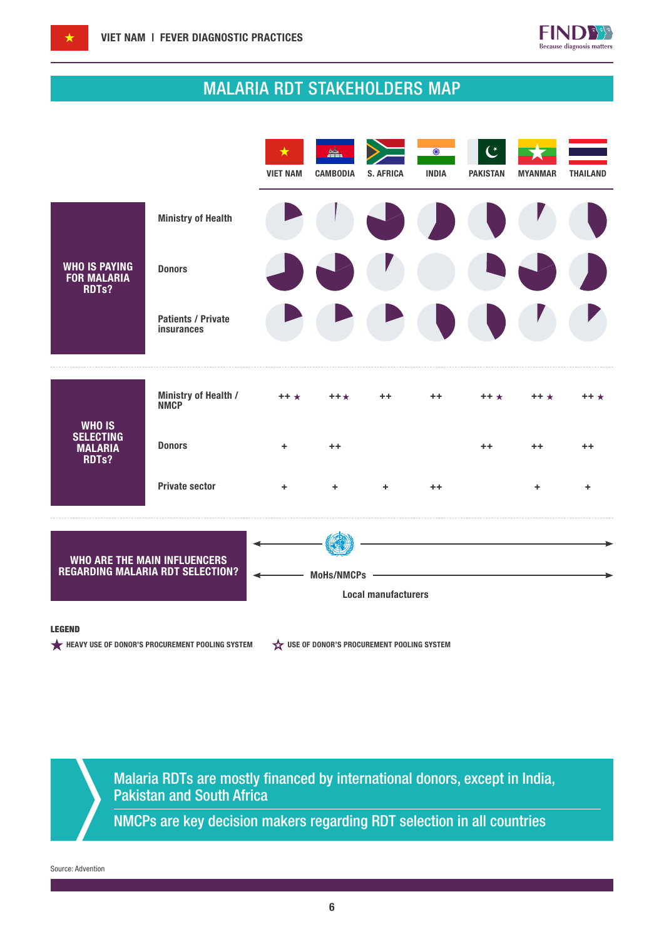

## MALARIA RDT STAKEHOLDERS MAP



#### LEGEND

HEAVY USE OF DONOR'S PROCUREMENT POOLING SYSTEM  $\overleftrightarrow{\mathbf{x}}$  use of Donor's procurement pooling system

Malaria RDTs are mostly financed by international donors, except in India, Pakistan and South Africa

NMCPs are key decision makers regarding RDT selection in all countries

Source: Advention